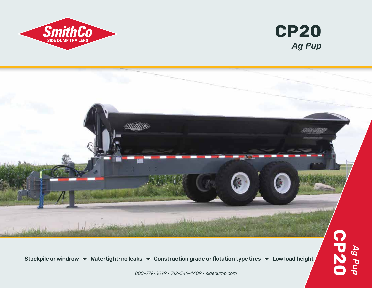





Stockpile or windrow  $\blacktriangleright$  Watertight; no leaks  $\blacktriangleright$  Construction grade or flotation type tires  $\blacktriangleright$  Low load height

*800-779-8099 • 712-546-4409 • sidedump.com*